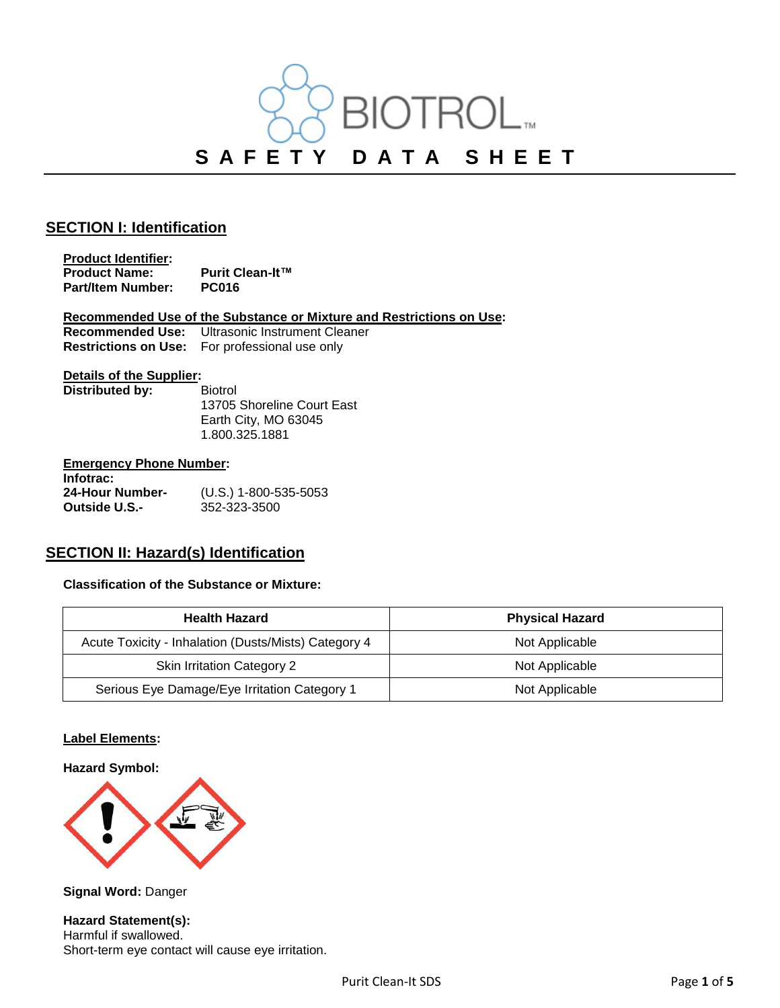

### **SECTION I: Identification**

**Product Identifier: Product Name:** Purit Clean-It™<br>Part/Item Number: PC016 **Part/Item Number:** 

**Recommended Use of the Substance or Mixture and Restrictions on Use: Ultrasonic Instrument Cleaner Restrictions on Use:** For professional use only

### **Details of the Supplier:**

**Distributed by:** Biotrol

13705 Shoreline Court East Earth City, MO 63045 1.800.325.1881

#### **Emergency Phone Number:**

**Infotrac: 24-Hour Number-** (U.S.) 1-800-535-5053 **Outside U.S.-** 352-323-3500

## **SECTION II: Hazard(s) Identification**

#### **Classification of the Substance or Mixture:**

| <b>Health Hazard</b>                                 | <b>Physical Hazard</b> |
|------------------------------------------------------|------------------------|
| Acute Toxicity - Inhalation (Dusts/Mists) Category 4 | Not Applicable         |
| <b>Skin Irritation Category 2</b>                    | Not Applicable         |
| Serious Eye Damage/Eye Irritation Category 1         | Not Applicable         |

#### **Label Elements:**

#### **Hazard Symbol:**



**Signal Word:** Danger

**Hazard Statement(s):** Harmful if swallowed. Short-term eye contact will cause eye irritation.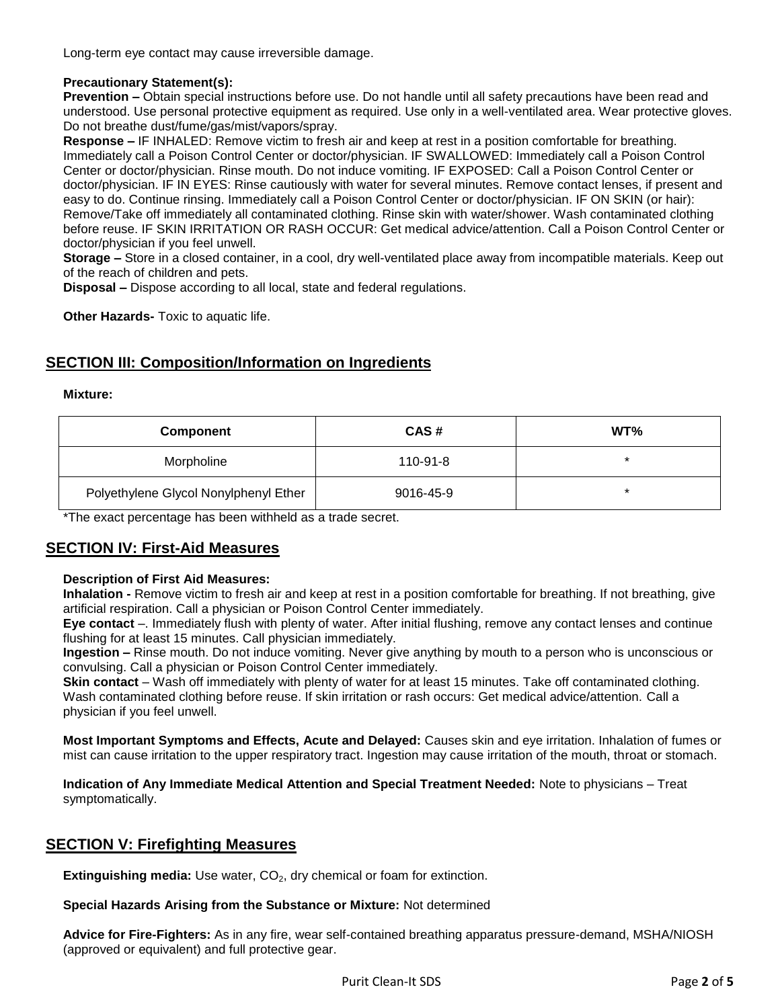Long-term eye contact may cause irreversible damage.

### **Precautionary Statement(s):**

**Prevention –** Obtain special instructions before use. Do not handle until all safety precautions have been read and understood. Use personal protective equipment as required. Use only in a well-ventilated area. Wear protective gloves. Do not breathe dust/fume/gas/mist/vapors/spray.

**Response –** IF INHALED: Remove victim to fresh air and keep at rest in a position comfortable for breathing. Immediately call a Poison Control Center or doctor/physician. IF SWALLOWED: Immediately call a Poison Control Center or doctor/physician. Rinse mouth. Do not induce vomiting. IF EXPOSED: Call a Poison Control Center or doctor/physician. IF IN EYES: Rinse cautiously with water for several minutes. Remove contact lenses, if present and easy to do. Continue rinsing. Immediately call a Poison Control Center or doctor/physician. IF ON SKIN (or hair): Remove/Take off immediately all contaminated clothing. Rinse skin with water/shower. Wash contaminated clothing before reuse. IF SKIN IRRITATION OR RASH OCCUR: Get medical advice/attention. Call a Poison Control Center or doctor/physician if you feel unwell.

**Storage –** Store in a closed container, in a cool, dry well-ventilated place away from incompatible materials. Keep out of the reach of children and pets.

**Disposal –** Dispose according to all local, state and federal regulations.

**Other Hazards-** Toxic to aquatic life.

# **SECTION III: Composition/Information on Ingredients**

#### **Mixture:**

| <b>Component</b>                      | CAS#      | WT%    |
|---------------------------------------|-----------|--------|
| Morpholine                            | 110-91-8  | $\ast$ |
| Polyethylene Glycol Nonylphenyl Ether | 9016-45-9 | *      |

\*The exact percentage has been withheld as a trade secret.

## **SECTION IV: First-Aid Measures**

### **Description of First Aid Measures:**

**Inhalation -** Remove victim to fresh air and keep at rest in a position comfortable for breathing. If not breathing, give artificial respiration. Call a physician or Poison Control Center immediately.

**Eye contact** –. Immediately flush with plenty of water. After initial flushing, remove any contact lenses and continue flushing for at least 15 minutes. Call physician immediately.

**Ingestion –** Rinse mouth. Do not induce vomiting. Never give anything by mouth to a person who is unconscious or convulsing. Call a physician or Poison Control Center immediately.

**Skin contact** – Wash off immediately with plenty of water for at least 15 minutes. Take off contaminated clothing. Wash contaminated clothing before reuse. If skin irritation or rash occurs: Get medical advice/attention. Call a physician if you feel unwell.

**Most Important Symptoms and Effects, Acute and Delayed:** Causes skin and eye irritation. Inhalation of fumes or mist can cause irritation to the upper respiratory tract. Ingestion may cause irritation of the mouth, throat or stomach.

**Indication of Any Immediate Medical Attention and Special Treatment Needed:** Note to physicians – Treat symptomatically.

## **SECTION V: Firefighting Measures**

**Extinguishing media:** Use water, CO<sub>2</sub>, dry chemical or foam for extinction.

#### **Special Hazards Arising from the Substance or Mixture:** Not determined

**Advice for Fire-Fighters:** As in any fire, wear self-contained breathing apparatus pressure-demand, MSHA/NIOSH (approved or equivalent) and full protective gear.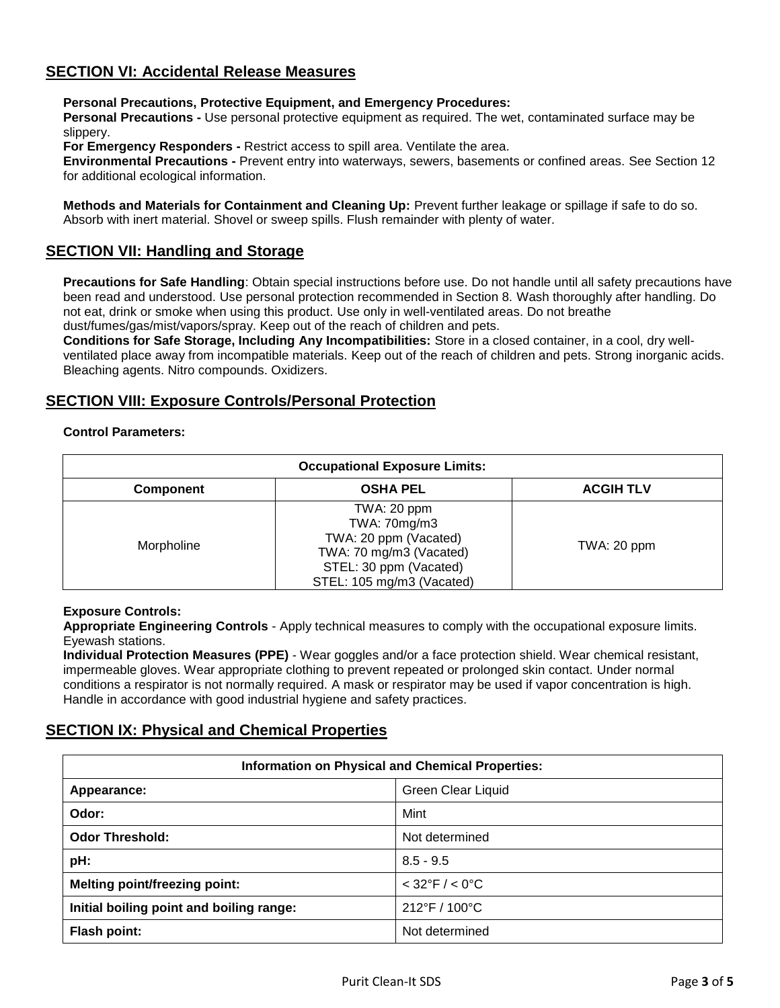# **SECTION VI: Accidental Release Measures**

#### **Personal Precautions, Protective Equipment, and Emergency Procedures:**

**Personal Precautions -** Use personal protective equipment as required. The wet, contaminated surface may be slippery.

**For Emergency Responders -** Restrict access to spill area. Ventilate the area.

**Environmental Precautions -** Prevent entry into waterways, sewers, basements or confined areas. See Section 12 for additional ecological information.

**Methods and Materials for Containment and Cleaning Up:** Prevent further leakage or spillage if safe to do so. Absorb with inert material. Shovel or sweep spills. Flush remainder with plenty of water.

## **SECTION VII: Handling and Storage**

**Precautions for Safe Handling**: Obtain special instructions before use. Do not handle until all safety precautions have been read and understood. Use personal protection recommended in Section 8. Wash thoroughly after handling. Do not eat, drink or smoke when using this product. Use only in well-ventilated areas. Do not breathe dust/fumes/gas/mist/vapors/spray. Keep out of the reach of children and pets.

**Conditions for Safe Storage, Including Any Incompatibilities:** Store in a closed container, in a cool, dry wellventilated place away from incompatible materials. Keep out of the reach of children and pets. Strong inorganic acids. Bleaching agents. Nitro compounds. Oxidizers.

# **SECTION VIII: Exposure Controls/Personal Protection**

#### **Control Parameters:**

| <b>Occupational Exposure Limits:</b> |                                                                                                                                        |                  |  |  |
|--------------------------------------|----------------------------------------------------------------------------------------------------------------------------------------|------------------|--|--|
| <b>Component</b>                     | <b>OSHA PEL</b>                                                                                                                        | <b>ACGIH TLV</b> |  |  |
| Morpholine                           | TWA: 20 ppm<br>TWA: 70mg/m3<br>TWA: 20 ppm (Vacated)<br>TWA: 70 mg/m3 (Vacated)<br>STEL: 30 ppm (Vacated)<br>STEL: 105 mg/m3 (Vacated) | TWA: 20 ppm      |  |  |

#### **Exposure Controls:**

**Appropriate Engineering Controls** - Apply technical measures to comply with the occupational exposure limits. Eyewash stations.

**Individual Protection Measures (PPE)** - Wear goggles and/or a face protection shield. Wear chemical resistant, impermeable gloves. Wear appropriate clothing to prevent repeated or prolonged skin contact. Under normal conditions a respirator is not normally required. A mask or respirator may be used if vapor concentration is high. Handle in accordance with good industrial hygiene and safety practices.

# **SECTION IX: Physical and Chemical Properties**

| <b>Information on Physical and Chemical Properties:</b> |                                    |  |  |
|---------------------------------------------------------|------------------------------------|--|--|
| Appearance:                                             | <b>Green Clear Liquid</b>          |  |  |
| Odor:                                                   | Mint                               |  |  |
| <b>Odor Threshold:</b>                                  | Not determined                     |  |  |
| pH:                                                     | $8.5 - 9.5$                        |  |  |
| <b>Melting point/freezing point:</b>                    | $< 32^{\circ}$ F / $< 0^{\circ}$ C |  |  |
| Initial boiling point and boiling range:                | 212°F / 100°C                      |  |  |
| <b>Flash point:</b>                                     | Not determined                     |  |  |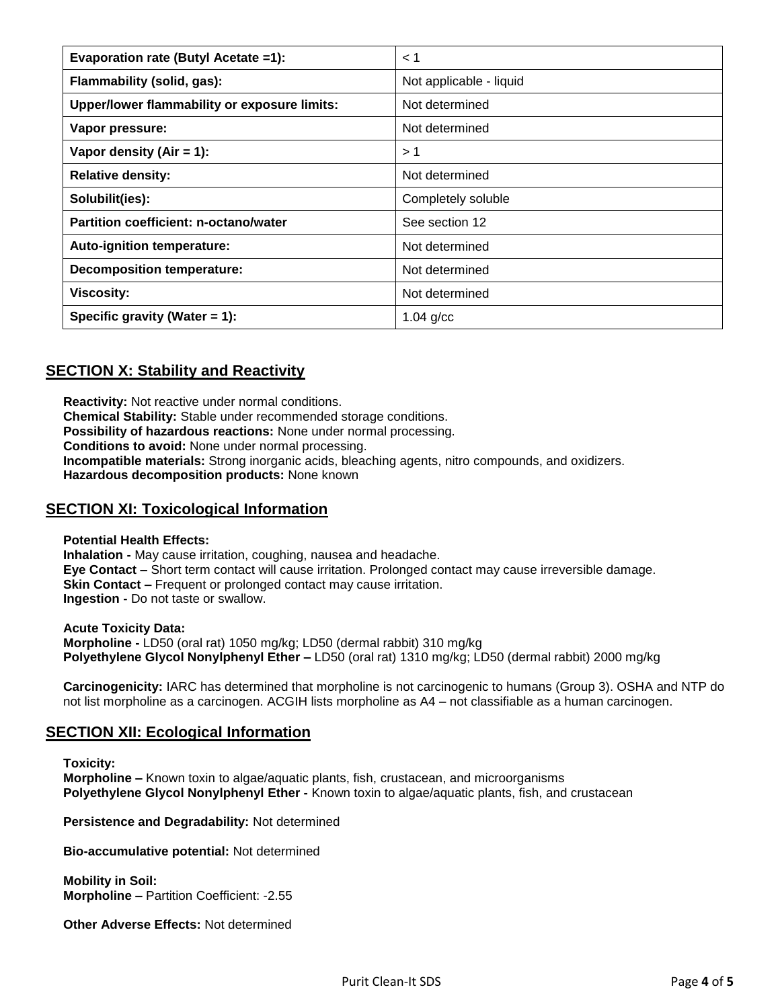| Evaporation rate (Butyl Acetate =1):         | < 1                     |
|----------------------------------------------|-------------------------|
| Flammability (solid, gas):                   | Not applicable - liquid |
| Upper/lower flammability or exposure limits: | Not determined          |
| Vapor pressure:                              | Not determined          |
| Vapor density (Air = 1):                     | >1                      |
| <b>Relative density:</b>                     | Not determined          |
| Solubilit(ies):                              | Completely soluble      |
| Partition coefficient: n-octano/water        | See section 12          |
| Auto-ignition temperature:                   | Not determined          |
| <b>Decomposition temperature:</b>            | Not determined          |
| <b>Viscosity:</b>                            | Not determined          |
| Specific gravity (Water $= 1$ ):             | $1.04$ g/cc             |

# **SECTION X: Stability and Reactivity**

**Reactivity:** Not reactive under normal conditions. **Chemical Stability:** Stable under recommended storage conditions. **Possibility of hazardous reactions:** None under normal processing. **Conditions to avoid:** None under normal processing. **Incompatible materials:** Strong inorganic acids, bleaching agents, nitro compounds, and oxidizers. **Hazardous decomposition products:** None known

## **SECTION XI: Toxicological Information**

**Potential Health Effects:** 

**Inhalation -** May cause irritation, coughing, nausea and headache. **Eye Contact –** Short term contact will cause irritation. Prolonged contact may cause irreversible damage. **Skin Contact –** Frequent or prolonged contact may cause irritation. **Ingestion -** Do not taste or swallow.

**Acute Toxicity Data: Morpholine -** LD50 (oral rat) 1050 mg/kg; LD50 (dermal rabbit) 310 mg/kg **Polyethylene Glycol Nonylphenyl Ether –** LD50 (oral rat) 1310 mg/kg; LD50 (dermal rabbit) 2000 mg/kg

**Carcinogenicity:** IARC has determined that morpholine is not carcinogenic to humans (Group 3). OSHA and NTP do not list morpholine as a carcinogen. ACGIH lists morpholine as A4 – not classifiable as a human carcinogen.

## **SECTION XII: Ecological Information**

**Toxicity:** 

**Morpholine –** Known toxin to algae/aquatic plants, fish, crustacean, and microorganisms **Polyethylene Glycol Nonylphenyl Ether -** Known toxin to algae/aquatic plants, fish, and crustacean

**Persistence and Degradability:** Not determined

**Bio-accumulative potential:** Not determined

**Mobility in Soil: Morpholine –** Partition Coefficient: -2.55

**Other Adverse Effects:** Not determined